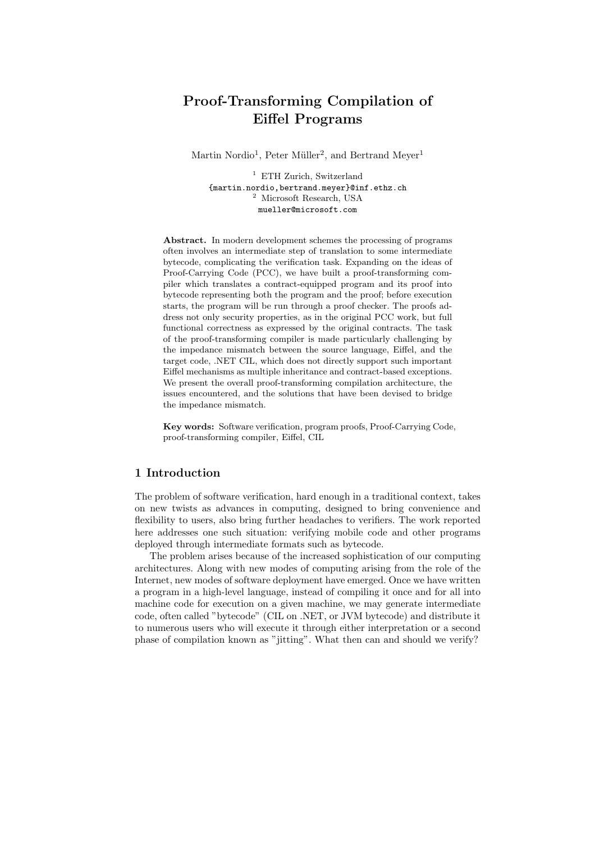# Proof-Transforming Compilation of Eiffel Programs

Martin Nordio<sup>1</sup>, Peter Müller<sup>2</sup>, and Bertrand Meyer<sup>1</sup>

<sup>1</sup> ETH Zurich, Switzerland {martin.nordio,bertrand.meyer}@inf.ethz.ch <sup>2</sup> Microsoft Research, USA mueller@microsoft.com

Abstract. In modern development schemes the processing of programs often involves an intermediate step of translation to some intermediate bytecode, complicating the verification task. Expanding on the ideas of Proof-Carrying Code (PCC), we have built a proof-transforming compiler which translates a contract-equipped program and its proof into bytecode representing both the program and the proof; before execution starts, the program will be run through a proof checker. The proofs address not only security properties, as in the original PCC work, but full functional correctness as expressed by the original contracts. The task of the proof-transforming compiler is made particularly challenging by the impedance mismatch between the source language, Eiffel, and the target code, .NET CIL, which does not directly support such important Eiffel mechanisms as multiple inheritance and contract-based exceptions. We present the overall proof-transforming compilation architecture, the issues encountered, and the solutions that have been devised to bridge the impedance mismatch.

Key words: Software verification, program proofs, Proof-Carrying Code, proof-transforming compiler, Eiffel, CIL

# 1 Introduction

The problem of software verification, hard enough in a traditional context, takes on new twists as advances in computing, designed to bring convenience and flexibility to users, also bring further headaches to verifiers. The work reported here addresses one such situation: verifying mobile code and other programs deployed through intermediate formats such as bytecode.

The problem arises because of the increased sophistication of our computing architectures. Along with new modes of computing arising from the role of the Internet, new modes of software deployment have emerged. Once we have written a program in a high-level language, instead of compiling it once and for all into machine code for execution on a given machine, we may generate intermediate code, often called "bytecode" (CIL on .NET, or JVM bytecode) and distribute it to numerous users who will execute it through either interpretation or a second phase of compilation known as "jitting". What then can and should we verify?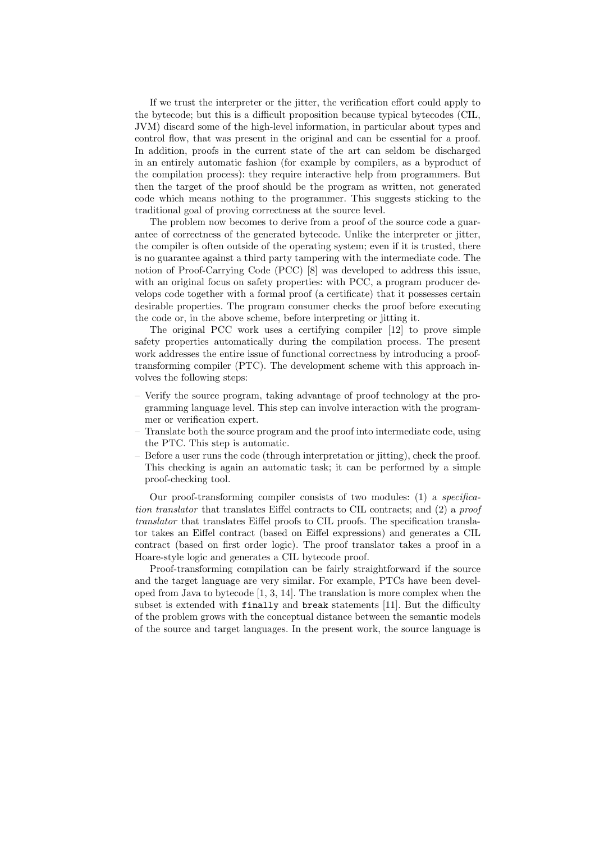If we trust the interpreter or the jitter, the verification effort could apply to the bytecode; but this is a difficult proposition because typical bytecodes (CIL, JVM) discard some of the high-level information, in particular about types and control flow, that was present in the original and can be essential for a proof. In addition, proofs in the current state of the art can seldom be discharged in an entirely automatic fashion (for example by compilers, as a byproduct of the compilation process): they require interactive help from programmers. But then the target of the proof should be the program as written, not generated code which means nothing to the programmer. This suggests sticking to the traditional goal of proving correctness at the source level.

The problem now becomes to derive from a proof of the source code a guarantee of correctness of the generated bytecode. Unlike the interpreter or jitter, the compiler is often outside of the operating system; even if it is trusted, there is no guarantee against a third party tampering with the intermediate code. The notion of Proof-Carrying Code (PCC) [8] was developed to address this issue, with an original focus on safety properties: with PCC, a program producer develops code together with a formal proof (a certificate) that it possesses certain desirable properties. The program consumer checks the proof before executing the code or, in the above scheme, before interpreting or jitting it.

The original PCC work uses a certifying compiler [12] to prove simple safety properties automatically during the compilation process. The present work addresses the entire issue of functional correctness by introducing a prooftransforming compiler (PTC). The development scheme with this approach involves the following steps:

- Verify the source program, taking advantage of proof technology at the programming language level. This step can involve interaction with the programmer or verification expert.
- Translate both the source program and the proof into intermediate code, using the PTC. This step is automatic.
- Before a user runs the code (through interpretation or jitting), check the proof. This checking is again an automatic task; it can be performed by a simple proof-checking tool.

Our proof-transforming compiler consists of two modules: (1) a specification translator that translates Eiffel contracts to CIL contracts; and (2) a proof translator that translates Eiffel proofs to CIL proofs. The specification translator takes an Eiffel contract (based on Eiffel expressions) and generates a CIL contract (based on first order logic). The proof translator takes a proof in a Hoare-style logic and generates a CIL bytecode proof.

Proof-transforming compilation can be fairly straightforward if the source and the target language are very similar. For example, PTCs have been developed from Java to bytecode [1, 3, 14]. The translation is more complex when the subset is extended with finally and break statements [11]. But the difficulty of the problem grows with the conceptual distance between the semantic models of the source and target languages. In the present work, the source language is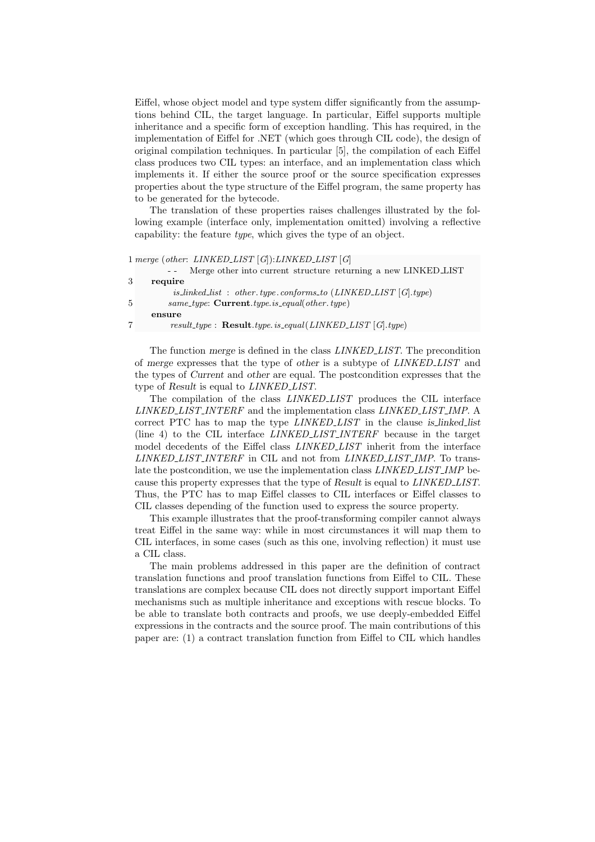Eiffel, whose object model and type system differ significantly from the assumptions behind CIL, the target language. In particular, Eiffel supports multiple inheritance and a specific form of exception handling. This has required, in the implementation of Eiffel for .NET (which goes through CIL code), the design of original compilation techniques. In particular [5], the compilation of each Eiffel class produces two CIL types: an interface, and an implementation class which implements it. If either the source proof or the source specification expresses properties about the type structure of the Eiffel program, the same property has to be generated for the bytecode.

The translation of these properties raises challenges illustrated by the following example (interface only, implementation omitted) involving a reflective capability: the feature type, which gives the type of an object.

1 merge (other: LINKED LIST [G]):LINKED LIST [G]

|   | Merge other into current structure returning a new LINKED LIST<br>$\sim$ $ -$ |  |  |
|---|-------------------------------------------------------------------------------|--|--|
|   | require                                                                       |  |  |
|   | is_linked_list : other.type.conforms_to $(LINKED_LIST \mid G .type)$          |  |  |
| 5 | $same\_type:$ Current.type.is_equal(other.type)                               |  |  |
|   | ensure                                                                        |  |  |

7 result\_type : Result.type.is\_equal(LINKED\_LIST [G].type)

The function merge is defined in the class LINKED LIST. The precondition of merge expresses that the type of other is a subtype of LINKED LIST and the types of Current and other are equal. The postcondition expresses that the type of Result is equal to LINKED\_LIST.

The compilation of the class LINKED\_LIST produces the CIL interface LINKED LIST INTERF and the implementation class LINKED LIST IMP. A correct PTC has to map the type *LINKED\_LIST* in the clause is linked list (line 4) to the CIL interface *LINKED\_LIST\_INTERF* because in the target model decedents of the Eiffel class LINKED LIST inherit from the interface LINKED\_LIST\_INTERF in CIL and not from LINKED\_LIST\_IMP. To translate the postcondition, we use the implementation class LINKED LIST IMP because this property expresses that the type of Result is equal to LINKED LIST. Thus, the PTC has to map Eiffel classes to CIL interfaces or Eiffel classes to CIL classes depending of the function used to express the source property.

This example illustrates that the proof-transforming compiler cannot always treat Eiffel in the same way: while in most circumstances it will map them to CIL interfaces, in some cases (such as this one, involving reflection) it must use a CIL class.

The main problems addressed in this paper are the definition of contract translation functions and proof translation functions from Eiffel to CIL. These translations are complex because CIL does not directly support important Eiffel mechanisms such as multiple inheritance and exceptions with rescue blocks. To be able to translate both contracts and proofs, we use deeply-embedded Eiffel expressions in the contracts and the source proof. The main contributions of this paper are: (1) a contract translation function from Eiffel to CIL which handles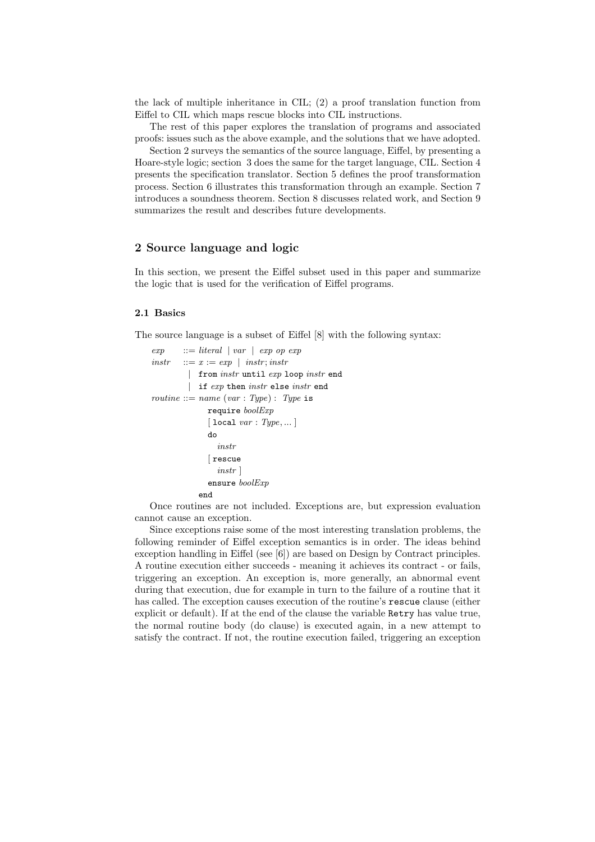the lack of multiple inheritance in CIL; (2) a proof translation function from Eiffel to CIL which maps rescue blocks into CIL instructions.

The rest of this paper explores the translation of programs and associated proofs: issues such as the above example, and the solutions that we have adopted.

Section 2 surveys the semantics of the source language, Eiffel, by presenting a Hoare-style logic; section 3 does the same for the target language, CIL. Section 4 presents the specification translator. Section 5 defines the proof transformation process. Section 6 illustrates this transformation through an example. Section 7 introduces a soundness theorem. Section 8 discusses related work, and Section 9 summarizes the result and describes future developments.

# 2 Source language and logic

In this section, we present the Eiffel subset used in this paper and summarize the logic that is used for the verification of Eiffel programs.

# 2.1 Basics

The source language is a subset of Eiffel [8] with the following syntax:

```
exp \t := literal \t | var \t exp op expinstr ::= x := exp | instr; instr| from instr until exp loop instr end
        | if exp then instr else instr end
routine ::= name (var : Type) : Type is
             require boolExp
              [ local var: Type, ...]do
                instr
              [ rescue
                instr ]
              ensure boolExp
           end
```
Once routines are not included. Exceptions are, but expression evaluation cannot cause an exception.

Since exceptions raise some of the most interesting translation problems, the following reminder of Eiffel exception semantics is in order. The ideas behind exception handling in Eiffel (see [6]) are based on Design by Contract principles. A routine execution either succeeds - meaning it achieves its contract - or fails, triggering an exception. An exception is, more generally, an abnormal event during that execution, due for example in turn to the failure of a routine that it has called. The exception causes execution of the routine's rescue clause (either explicit or default). If at the end of the clause the variable Retry has value true, the normal routine body (do clause) is executed again, in a new attempt to satisfy the contract. If not, the routine execution failed, triggering an exception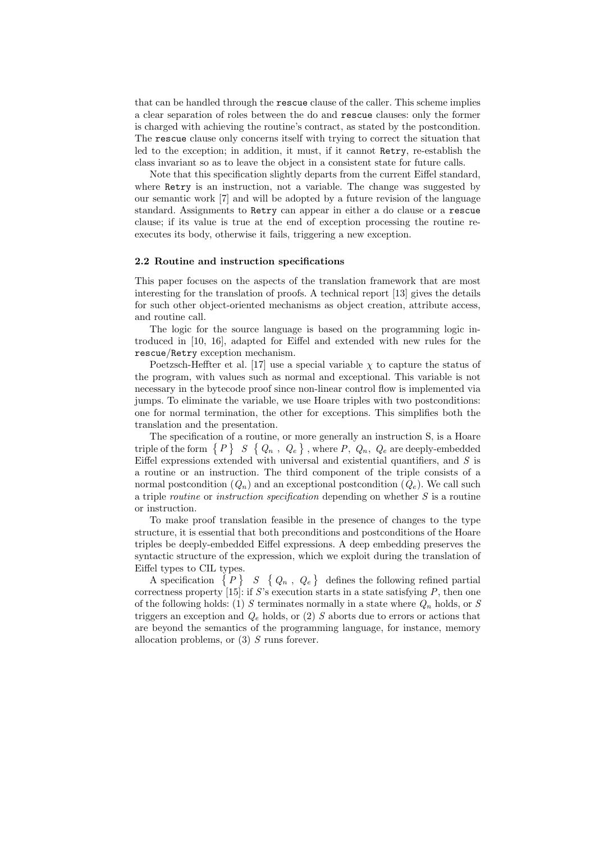that can be handled through the rescue clause of the caller. This scheme implies a clear separation of roles between the do and rescue clauses: only the former is charged with achieving the routine's contract, as stated by the postcondition. The rescue clause only concerns itself with trying to correct the situation that led to the exception; in addition, it must, if it cannot Retry, re-establish the class invariant so as to leave the object in a consistent state for future calls.

Note that this specification slightly departs from the current Eiffel standard, where Retry is an instruction, not a variable. The change was suggested by our semantic work [7] and will be adopted by a future revision of the language standard. Assignments to Retry can appear in either a do clause or a rescue clause; if its value is true at the end of exception processing the routine reexecutes its body, otherwise it fails, triggering a new exception.

#### 2.2 Routine and instruction specifications

This paper focuses on the aspects of the translation framework that are most interesting for the translation of proofs. A technical report [13] gives the details for such other object-oriented mechanisms as object creation, attribute access, and routine call.

The logic for the source language is based on the programming logic introduced in [10, 16], adapted for Eiffel and extended with new rules for the rescue/Retry exception mechanism.

Poetzsch-Heffter et al. [17] use a special variable  $\chi$  to capture the status of the program, with values such as normal and exceptional. This variable is not necessary in the bytecode proof since non-linear control flow is implemented via jumps. To eliminate the variable, we use Hoare triples with two postconditions: one for normal termination, the other for exceptions. This simplifies both the translation and the presentation.

The specification of a routine, or more generally an instruction  $S$ , is a Hoare The specification of a routine, or more generally an instruction S, is a Hoare<br>triple of the form  $\{P\}$   $S$   $\{Q_n, Q_e\}$ , where  $P, Q_n, Q_e$  are deeply-embedded Eiffel expressions extended with universal and existential quantifiers, and  $S$  is a routine or an instruction. The third component of the triple consists of a normal postcondition  $(Q_n)$  and an exceptional postcondition  $(Q_e)$ . We call such a triple *routine* or *instruction specification* depending on whether  $S$  is a routine or instruction.

To make proof translation feasible in the presence of changes to the type structure, it is essential that both preconditions and postconditions of the Hoare triples be deeply-embedded Eiffel expressions. A deep embedding preserves the syntactic structure of the expression, which we exploit during the translation of Eiffel types to CIL types.

efficiency to CIL types.<br>A specification  $\{P\}$  *S*  $\{Q_n, Q_e\}$ defines the following refined partial correctness property [15]: if S's execution starts in a state satisfying  $P$ , then one of the following holds: (1) S terminates normally in a state where  $Q_n$  holds, or S triggers an exception and  $Q_e$  holds, or  $(2)$  S aborts due to errors or actions that are beyond the semantics of the programming language, for instance, memory allocation problems, or  $(3)$  S runs forever.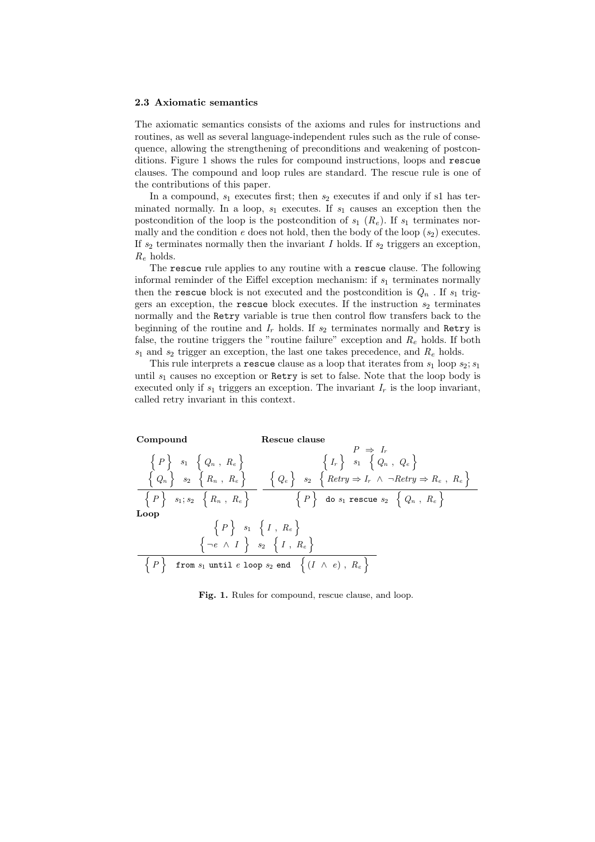### 2.3 Axiomatic semantics

The axiomatic semantics consists of the axioms and rules for instructions and routines, as well as several language-independent rules such as the rule of consequence, allowing the strengthening of preconditions and weakening of postconditions. Figure 1 shows the rules for compound instructions, loops and rescue clauses. The compound and loop rules are standard. The rescue rule is one of the contributions of this paper.

In a compound,  $s_1$  executes first; then  $s_2$  executes if and only if s1 has terminated normally. In a loop,  $s_1$  executes. If  $s_1$  causes an exception then the postcondition of the loop is the postcondition of  $s_1$  ( $R_e$ ). If  $s_1$  terminates normally and the condition e does not hold, then the body of the loop  $(s_2)$  executes. If  $s_2$  terminates normally then the invariant I holds. If  $s_2$  triggers an exception,  $R_e$  holds.

The rescue rule applies to any routine with a rescue clause. The following informal reminder of the Eiffel exception mechanism: if  $s_1$  terminates normally then the rescue block is not executed and the postcondition is  $Q_n$ . If  $s_1$  triggers an exception, the rescue block executes. If the instruction  $s_2$  terminates normally and the Retry variable is true then control flow transfers back to the beginning of the routine and  $I_r$  holds. If  $s_2$  terminates normally and Retry is false, the routine triggers the "routine failure" exception and  $R_e$  holds. If both  $s_1$  and  $s_2$  trigger an exception, the last one takes precedence, and  $R_e$  holds.

This rule interprets a rescue clause as a loop that iterates from  $s_1$  loop  $s_2$ ;  $s_1$ until  $s_1$  causes no exception or Retry is set to false. Note that the loop body is executed only if  $s_1$  triggers an exception. The invariant  $I_r$  is the loop invariant, called retry invariant in this context.



Fig. 1. Rules for compound, rescue clause, and loop.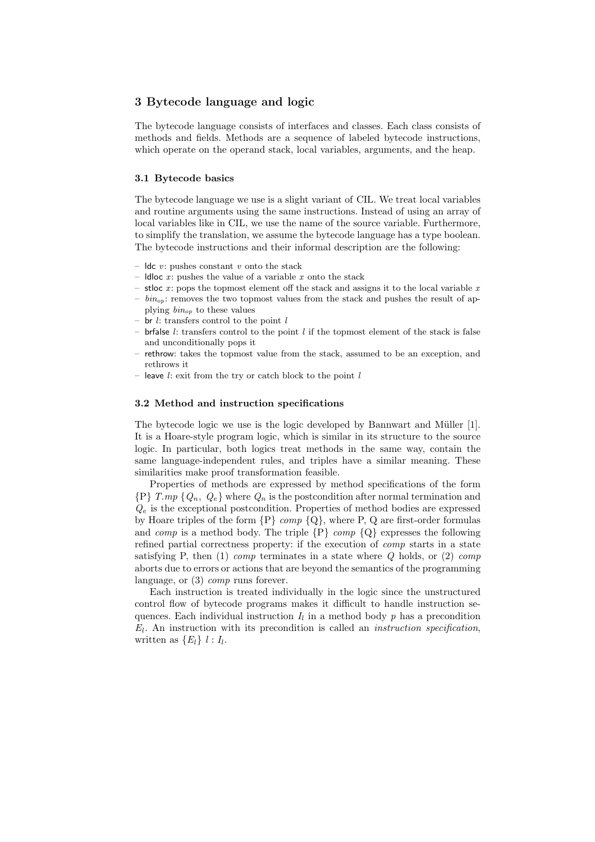# 3 Bytecode language and logic

The bytecode language consists of interfaces and classes. Each class consists of methods and fields. Methods are a sequence of labeled bytecode instructions, which operate on the operand stack, local variables, arguments, and the heap.

### 3.1 Bytecode basics

The bytecode language we use is a slight variant of CIL. We treat local variables and routine arguments using the same instructions. Instead of using an array of local variables like in CIL, we use the name of the source variable. Furthermore, to simplify the translation, we assume the bytecode language has a type boolean. The bytecode instructions and their informal description are the following:

- $-$  ldc  $v:$  pushes constant  $v$  onto the stack
- **ldloc** x: pushes the value of a variable x onto the stack
- stloc x: pops the topmost element off the stack and assigns it to the local variable  $x$
- $bin_{op}$ : removes the two topmost values from the stack and pushes the result of applying  $\lim_{op}$  to these values
- $-$  br l: transfers control to the point l
- brfalse l: transfers control to the point l if the topmost element of the stack is false and unconditionally pops it
- rethrow: takes the topmost value from the stack, assumed to be an exception, and rethrows it
- $-$  leave  $l$ : exit from the try or catch block to the point  $l$

#### 3.2 Method and instruction specifications

The bytecode logic we use is the logic developed by Bannwart and Müller [1]. It is a Hoare-style program logic, which is similar in its structure to the source logic. In particular, both logics treat methods in the same way, contain the same language-independent rules, and triples have a similar meaning. These similarities make proof transformation feasible.

Properties of methods are expressed by method specifications of the form  ${P}$  T.mp  ${Q_n, Q_e}$  where  $Q_n$  is the postcondition after normal termination and  $Q_e$  is the exceptional postcondition. Properties of method bodies are expressed by Hoare triples of the form  ${P}$  comp  ${Q}$ , where P, Q are first-order formulas and *comp* is a method body. The triple  $\{P\}$  *comp*  $\{Q\}$  expresses the following refined partial correctness property: if the execution of *comp* starts in a state satisfying P, then  $(1)$  comp terminates in a state where Q holds, or  $(2)$  comp aborts due to errors or actions that are beyond the semantics of the programming language, or  $(3)$  *comp* runs forever.

Each instruction is treated individually in the logic since the unstructured control flow of bytecode programs makes it difficult to handle instruction sequences. Each individual instruction  $I_l$  in a method body  $p$  has a precondition  $E_l$ . An instruction with its precondition is called an *instruction specification*, written as  $\{E_l\}$   $l: I_l$ .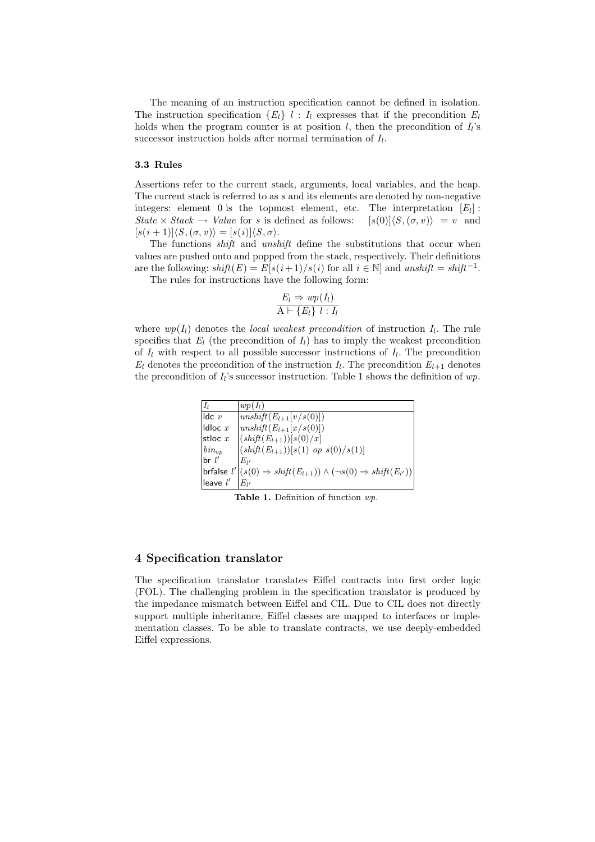The meaning of an instruction specification cannot be defined in isolation. The instruction specification  ${E_l}$  l :  $I_l$  expresses that if the precondition  $E_l$ holds when the program counter is at position  $l$ , then the precondition of  $I_l$ 's successor instruction holds after normal termination of  $I_l$ .

### 3.3 Rules

Assertions refer to the current stack, arguments, local variables, and the heap. The current stack is referred to as s and its elements are denoted by non-negative integers: element 0 is the topmost element, etc. The interpretation  $[E_l]$ : State  $\times$  Stack  $\rightarrow$  Value for s is defined as follows:  $[s(0)|\langle S,(\sigma, v)\rangle] = v$  and  $[s(i+1)]\langle S,(\sigma, v)\rangle = [s(i)]\langle S, \sigma\rangle.$ 

The functions *shift* and *unshift* define the substitutions that occur when values are pushed onto and popped from the stack, respectively. Their definitions are the following:  $shift(E) = E[s(i+1)/s(i)$  for all  $i \in \mathbb{N}]$  and  $unshift = shift^{-1}$ .

The rules for instructions have the following form:

$$
\frac{E_l \Rightarrow wp(I_l)}{A \vdash \{E_l\} \ l : I_l}
$$

where  $wp(I_l)$  denotes the *local weakest precondition* of instruction  $I_l$ . The rule specifies that  $E_l$  (the precondition of  $I_l$ ) has to imply the weakest precondition of  $I_l$  with respect to all possible successor instructions of  $I_l$ . The precondition  $E_l$  denotes the precondition of the instruction  $I_l$ . The precondition  $E_{l+1}$  denotes the precondition of  $I_l$ 's successor instruction. Table 1 shows the definition of  $wp$ .

> $I_l$   $wp(I_l)$  $\det v = \left[ \frac{unshift(E_{l+1}[v/s(0)])}{\text{ } } \right]$ Idloc  $x \ \left[ \text{unshift}(E_{l+1}[x/s(0)]) \right]$ stloc  $x \mid (shift(E_{l+1}))[s(0)/x]$  $\binom{bin_{op}}{(shift(E_{l+1}))[s(1) \text{ op } s(0)/s(1)]}$  $\mathsf{br}$   $l'$  $\int E_{l'}$ brfalse  $l$  $\prime$  $(s(0) \Rightarrow shift(E_{l+1})) \wedge (\neg s(0) \Rightarrow shift(E_{l'})$ leave  $l'$  $E_{l'}$

Table 1. Definition of function  $wp$ .

# 4 Specification translator

The specification translator translates Eiffel contracts into first order logic (FOL). The challenging problem in the specification translator is produced by the impedance mismatch between Eiffel and CIL. Due to CIL does not directly support multiple inheritance, Eiffel classes are mapped to interfaces or implementation classes. To be able to translate contracts, we use deeply-embedded Eiffel expressions.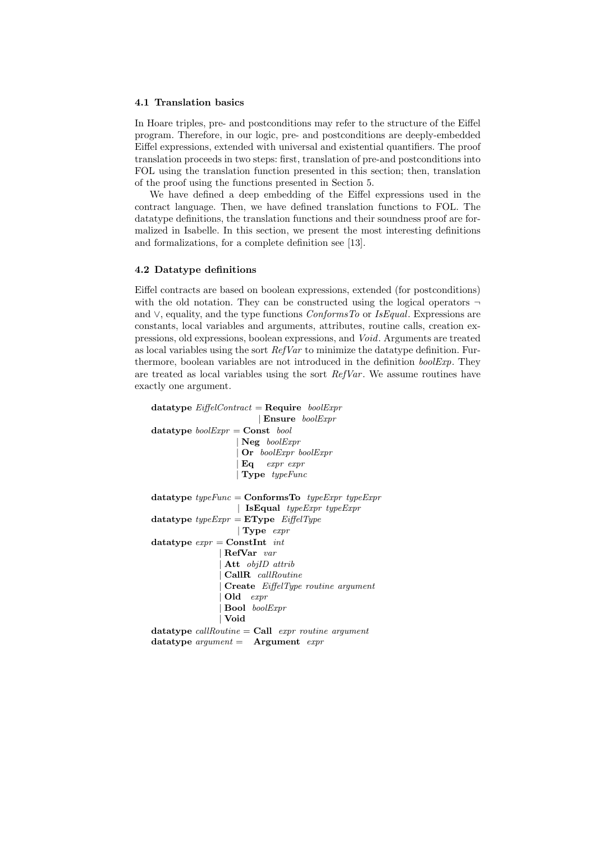### 4.1 Translation basics

In Hoare triples, pre- and postconditions may refer to the structure of the Eiffel program. Therefore, in our logic, pre- and postconditions are deeply-embedded Eiffel expressions, extended with universal and existential quantifiers. The proof translation proceeds in two steps: first, translation of pre-and postconditions into FOL using the translation function presented in this section; then, translation of the proof using the functions presented in Section 5.

We have defined a deep embedding of the Eiffel expressions used in the contract language. Then, we have defined translation functions to FOL. The datatype definitions, the translation functions and their soundness proof are formalized in Isabelle. In this section, we present the most interesting definitions and formalizations, for a complete definition see [13].

## 4.2 Datatype definitions

Eiffel contracts are based on boolean expressions, extended (for postconditions) with the old notation. They can be constructed using the logical operators  $\neg$ and  $\vee$ , equality, and the type functions *ConformsTo* or *IsEqual*. Expressions are constants, local variables and arguments, attributes, routine calls, creation expressions, old expressions, boolean expressions, and Void. Arguments are treated as local variables using the sort  $RefVar$  to minimize the datatype definition. Furthermore, boolean variables are not introduced in the definition  $boolExp$ . They are treated as local variables using the sort RefVar . We assume routines have exactly one argument.

```
datatype EiffelContract = \textbf{Required} bookError| Ensure boolExpr
datatype\;bookError = Const\;bool| Neg boolExpr
                     | Or boolExpr boolExpr
                    | Eq expr expr
                    | Type typeFunc
datatype typeFunc = \text{ConformsTo} typeExpr typeExpr
                    | IsEqual typeExpr typeExpr
datatype typeExpr = \mathbf{EType} EiffelType
                    | Type expr
datatype expr = \text{ConstInt} int
                 | RefVar var
                 Att objID attrib
                 | CallR callRoutine
                  | Create EiffelType routine argument
                 | Old expr
                 | Bool boolExpr
                 | Void
\textbf{datatvpe} callRoutine = Call expr routine argument
```
datatype  $argument =$  Argument  $expr$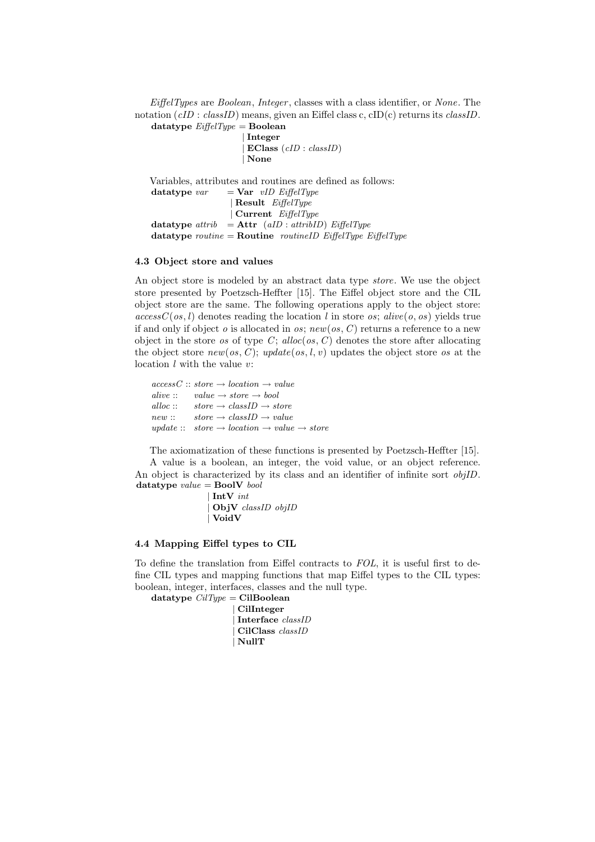EiffelTypes are Boolean, Integer, classes with a class identifier, or None. The notation  $(cID : classID)$  means, given an Eiffel class c,  $cID(c)$  returns its  $classID$ . datatype  $EiffelType =$ Boolean

> | Integer  $EClass (cID : classID)$ | None

Variables, attributes and routines are defined as follows: datatype var  $=$  Var vID EiffelType | Result EiffelType | Current EiffelType datatype  $attribute =$  Attr  $(aID : attributeID)$  EiffelType datatype  $\textit{routine} = \textbf{R}$ outine  $\textit{routine}$  EiffelType EiffelType

### 4.3 Object store and values

An object store is modeled by an abstract data type store. We use the object store presented by Poetzsch-Heffter [15]. The Eiffel object store and the CIL object store are the same. The following operations apply to the object store:  $accessC(os, l)$  denotes reading the location l in store os; alive(o, os) yields true if and only if object o is allocated in os; new(os, C) returns a reference to a new object in the store os of type  $C$ ; alloc(os, C) denotes the store after allocating the object store new(os, C); update(os, l, v) updates the object store os at the location  $l$  with the value  $v$ :

 $accessC::store \rightarrow location \rightarrow value$ alive  $:: \quad value \rightarrow store \rightarrow bool$  $alloc ::$  store  $\rightarrow classID \rightarrow store$  $new ::$  store  $\rightarrow classID \rightarrow value$ update  $::$  store  $\rightarrow$  location  $\rightarrow$  value  $\rightarrow$  store

The axiomatization of these functions is presented by Poetzsch-Heffter [15]. A value is a boolean, an integer, the void value, or an object reference. An object is characterized by its class and an identifier of infinite sort *objID*.  $datatype value = BookNode$ 

```
| IntV int
 ObjV classID objID
| VoidV
```
### 4.4 Mapping Eiffel types to CIL

To define the translation from Eiffel contracts to FOL, it is useful first to define CIL types and mapping functions that map Eiffel types to the CIL types: boolean, integer, interfaces, classes and the null type.

datatype  $CilType = **CilBoolean**$ | CilInteger

```
| Interface classID
| CilClass classID
| NullT
```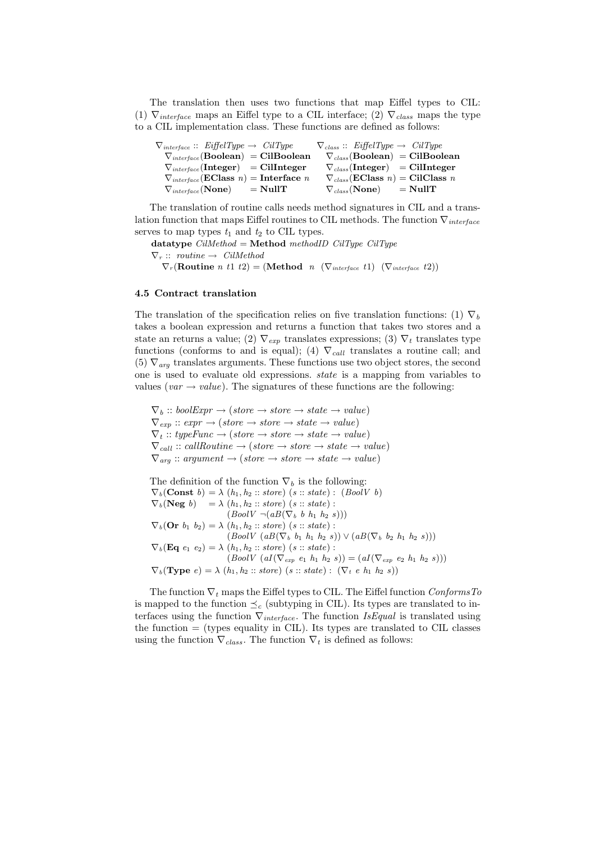The translation then uses two functions that map Eiffel types to CIL: (1)  $\nabla_{interface}$  maps an Eiffel type to a CIL interface; (2)  $\nabla_{class}$  maps the type to a CIL implementation class. These functions are defined as follows:

| $\nabla_{interface} :: EiffelType \rightarrow CilType$           | $\nabla_{class} :: EiffelType \rightarrow CilType$          |
|------------------------------------------------------------------|-------------------------------------------------------------|
| $\nabla_{interface}(\text{Boolean}) = \text{CilBoolean}$         | $\nabla_{class}(\text{Boolean}) = \text{CilBoolean}$        |
| $\nabla_{interface}(\textbf{Integer}) = \textbf{Cillnteger}$     | $\nabla_{class}(\text{Integer}) = \text{Cillnteger}$        |
| $\nabla_{interface}(\mathbf{EClass}\ n) = \mathbf{Interface}\ n$ | $\nabla_{class}(\mathbf{EClass}\ n) = \mathbf{CilClass}\ n$ |
| $\nabla_{interface}(\mathbf{None}) \quad \quad = \mathbf{NullT}$ | $\nabla_{class}(\textbf{None}) = \textbf{NullT}$            |

The translation of routine calls needs method signatures in CIL and a translation function that maps Eiffel routines to CIL methods. The function  $\nabla_{interface}$ serves to map types  $t_1$  and  $t_2$  to CIL types.

datatype  $CilMethod = Method$  methodID  $CilType$   $CilType$  $\nabla_r :: routine \rightarrow CilMethod$  $\nabla_r(\text{Routine } n \text{ } t1 \text{ } t2) = (\text{Method } n \text{ } (\nabla_{interface} t1) \text{ } (\nabla_{interface} t2))$ 

#### 4.5 Contract translation

The translation of the specification relies on five translation functions: (1)  $\nabla_b$ takes a boolean expression and returns a function that takes two stores and a state an returns a value; (2)  $\nabla_{exp}$  translates expressions; (3)  $\nabla_t$  translates type functions (conforms to and is equal); (4)  $\nabla_{call}$  translates a routine call; and (5)  $\nabla_{\textit{arg}}$  translates arguments. These functions use two object stores, the second one is used to evaluate old expressions. state is a mapping from variables to values (var  $\rightarrow$  value). The signatures of these functions are the following:

 $\nabla_b :: \text{bool} \text{Expr} \rightarrow (\text{store} \rightarrow \text{store} \rightarrow \text{state} \rightarrow \text{value})$  $\nabla_{exp}$  ::  $expr \rightarrow (store \rightarrow store \rightarrow state \rightarrow value)$  $\nabla_t :: typeFunc \rightarrow (store \rightarrow store \rightarrow state \rightarrow value)$  $\nabla_{call} :: callRowtime \rightarrow (store \rightarrow store \rightarrow state \rightarrow value)$  $\nabla_{\textit{arg}} :: argument \rightarrow (store \rightarrow store \rightarrow state \rightarrow value)$ 

```
The definition of the function \nabla_b is the following:
\nabla_b (Const\;b) = \lambda \; (h_1, h_2::store) \; (s::state): \; (BoolV\;b)\nabla_b(\textbf{Neg } b) = \lambda(h_1, h_2::store) (s :: state) :
                           (BoolV \neg (aB(\nabla_b \ b \ h_1 \ h_2 \ s)))\nabla_b(\textbf{Or } b_1 \; b_2) = \lambda \; (h_1, h_2 :: store) \; (s :: state) :(BoolV (aB(\nabla_b b_1 h_1 h_2 s)) \vee (aB(\nabla_b b_2 h_1 h_2 s)))\nabla_b(\mathbf{Eq} e_1 e_2) = \lambda(h_1, h_2::store)(s::state):(BoolV (aI(\nabla_{exp} e_1 h_1 h_2 s)) = (aI(\nabla_{exp} e_2 h_1 h_2 s))\nabla_b(\textbf{Type } e) = \lambda (h_1, h_2 :: store) (s :: state) : (\nabla_t e h_1 h_2 s))
```
The function  $\nabla_t$  maps the Eiffel types to CIL. The Eiffel function ConformsTo is mapped to the function  $\preceq_c$  (subtyping in CIL). Its types are translated to interfaces using the function  $\nabla_{interface}$ . The function IsEqual is translated using the function  $=$  (types equality in CIL). Its types are translated to CIL classes using the function  $\nabla_{class}$ . The function  $\nabla_t$  is defined as follows: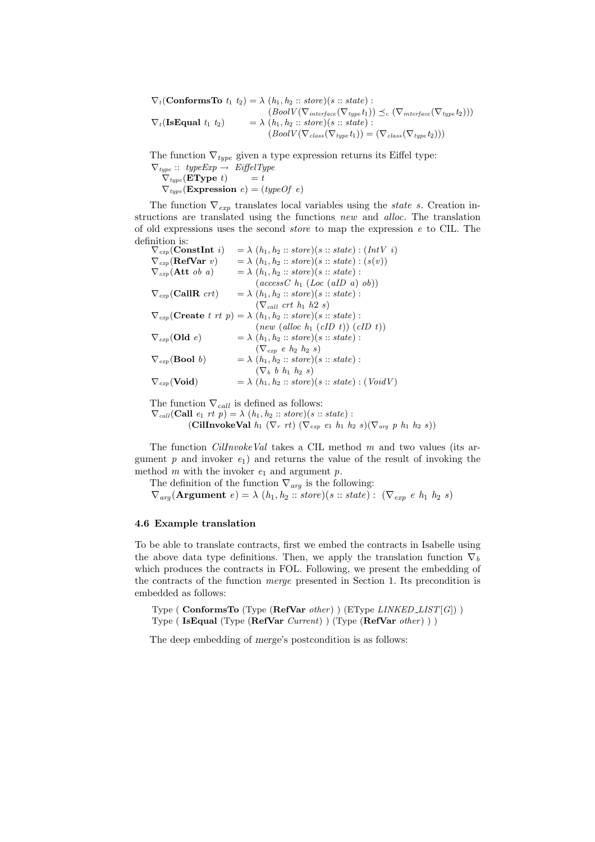$$
\nabla_t(\text{ConformsTo } t_1 \ t_2) = \lambda \ (h_1, h_2 :: store)(s :: state) :(BoolV(\nabla_{interface}(\nabla_{type} t_1)) \preceq_c (\nabla_{interface}(\nabla_{type} t_2)))\nabla_t(\text{IsEqual } t_1 \ t_2) = \lambda \ (h_1, h_2 :: store)(s :: state) :(BoolV(\nabla_{class}(\nabla_{type} t_1)) = (\nabla_{class}(\nabla_{type} t_2)))
$$

The function  $\nabla_{type}$  given a type expression returns its Eiffel type:  $\nabla_{type} :: typeExp \rightarrow EiffelType$ 

 $\nabla_{type}(\mathbf{EType}~t) = t$  $\nabla_{type}(\textbf{Expression } e) = (typeOf \ e)$ 

The function  $\nabla_{exp}$  translates local variables using the *state s*. Creation instructions are translated using the functions *new* and *alloc*. The translation of old expressions uses the second *store* to map the expression  $e$  to CIL. The definition is:<br> $\nabla_{exp}(\textbf{ConstInt } i)$ 

 $\nabla_{exp}(\text{ConstInt } i) = \lambda(h_1, h_2::store)(s::state) : (IntV i)$ <br>  $\nabla_{exp}(\text{RefVar } v) = \lambda(h_1, h_2::store)(s::state) : (s(v))$  $=\lambda(h_1, h_2:: store)(s:: state):(s(v))$  $\nabla_{exp}(\mathbf{Att}~ob~a) = \lambda(h_1, h_2::store)(s::state):$  $(accessC h_1 (Loc (aID a) ob))$  $\nabla_{exp}(\text{CallR} \; ct) = \lambda \; (h_1, h_2 :: store)(s :: state) :$  $(\nabla_{call} crt h_1 h2 s)$  $\nabla_{exp}$ (Create t rt p) =  $\lambda$  (h<sub>1</sub>, h<sub>2</sub> :: store)(s :: state) :  $(new (alloc h_1 (cID t)) (cID t))$  $\nabla_{exp}(\textbf{Old } e)$  =  $\lambda(h_1, h_2::store)(s::state):$  $(\nabla_{exp}$  e  $h_2$   $h_2$  s)  $\nabla_{exp}(\textbf{Bool } b)$  =  $\lambda(h_1, h_2::store)(s::state)$ :  $(\nabla_b \; b \; h_1 \; h_2 \; s)$  $\nabla_{exp}(\mathbf{Void})$  =  $\lambda(h_1, h_2::store)(s::state):(\textit{VoidV})$ 

The function  $\nabla_{call}$  is defined as follows:

 $\nabla_{call}(\textbf{Call }e_1 \text{ rt }p) = \lambda(h_1, h_2::store)(s::state):$ (CilInvokeVal  $h_1$  ( $\nabla_r$   $rt$ ) ( $\nabla_{exp}$   $e_1$   $h_1$   $h_2$   $s$ )( $\nabla_{arg}$   $p$   $h_1$   $h_2$   $s$ ))

The function *CillnvokeVal* takes a CIL method m and two values (its argument p and invoker  $e_1$ ) and returns the value of the result of invoking the method m with the invoker  $e_1$  and argument p.

The definition of the function  $\nabla_{arg}$  is the following:

 $\nabla_{arg}(\textbf{Argument } e) = \lambda (h_1, h_2 :: store)(s :: state) : (\nabla_{exp} e h_1 h_2 s)$ 

### 4.6 Example translation

To be able to translate contracts, first we embed the contracts in Isabelle using the above data type definitions. Then, we apply the translation function  $\nabla_b$ which produces the contracts in FOL. Following, we present the embedding of the contracts of the function merge presented in Section 1. Its precondition is embedded as follows:

Type (  $\text{ConformsTo}$  (Type ( $\text{RefVar}$  other) ) (EType  $\text{LINKED\_LIST}[G]$ ) ) Type ( IsEqual (Type (RefVar Current) ) (Type (RefVar other) ) )

The deep embedding of merge's postcondition is as follows: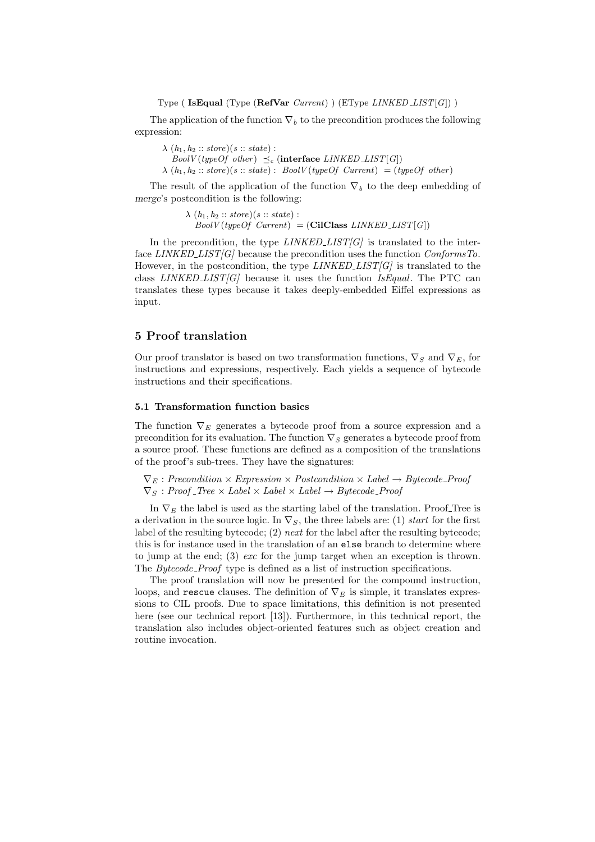Type ( IsEqual (Type (RefVar Current) ) (EType LINKED LIST[G]) )

The application of the function  $\nabla_b$  to the precondition produces the following expression:

 $\lambda$   $(h_1, h_2::store)(s::state):$  $BoolV(typeOf\ other) \preceq_c (interface \ LINKED\_LIST[G])$  $\lambda$  (h<sub>1</sub>, h<sub>2</sub> :: store)(s :: state) : BoolV (typeOf Current) = (typeOf other)

The result of the application of the function  $\nabla_b$  to the deep embedding of merge's postcondition is the following:

> $\lambda$   $(h_1, h_2 :: store)(s :: state)$ :  $BoolV(typeOf Current) = (CilClass \ LINKED\_LIST[G])$

In the precondition, the type  $LINKED_LIST/G$  is translated to the interface  $LINKED_LIST/G$  because the precondition uses the function  $ConformsTo$ . However, in the postcondition, the type  $LINKED\_{LIST[G]}$  is translated to the class  $LINKED_LIST[G]$  because it uses the function IsEqual. The PTC can translates these types because it takes deeply-embedded Eiffel expressions as input.

# 5 Proof translation

Our proof translator is based on two transformation functions,  $\nabla_S$  and  $\nabla_E$ , for instructions and expressions, respectively. Each yields a sequence of bytecode instructions and their specifications.

### 5.1 Transformation function basics

The function  $\nabla_E$  generates a bytecode proof from a source expression and a precondition for its evaluation. The function  $\nabla_S$  generates a bytecode proof from a source proof. These functions are defined as a composition of the translations of the proof's sub-trees. They have the signatures:

 $\nabla_E : Precondition \times Expression \times Postcondition \times Label \rightarrow Bytecode\_Proof$  $\nabla_S : Proof \_Tree \times Label \times Label \times Label \rightarrow Bytecode\_Proof$ 

In  $\nabla_E$  the label is used as the starting label of the translation. Proof Tree is a derivation in the source logic. In  $\nabla_S$ , the three labels are: (1) start for the first label of the resulting bytecode; (2) next for the label after the resulting bytecode; this is for instance used in the translation of an else branch to determine where to jump at the end; (3) exc for the jump target when an exception is thrown. The *Bytecode\_Proof* type is defined as a list of instruction specifications.

The proof translation will now be presented for the compound instruction, loops, and rescue clauses. The definition of  $\nabla_E$  is simple, it translates expressions to CIL proofs. Due to space limitations, this definition is not presented here (see our technical report [13]). Furthermore, in this technical report, the translation also includes object-oriented features such as object creation and routine invocation.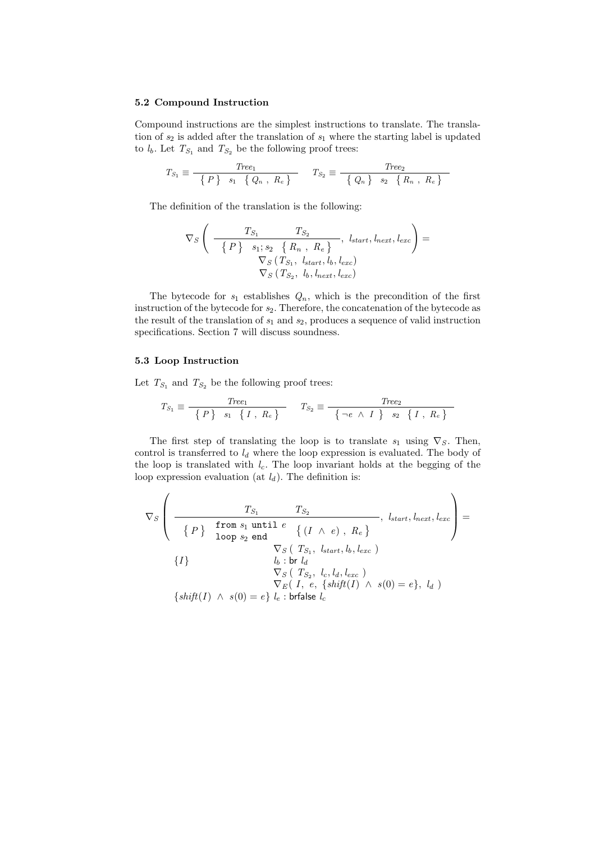### 5.2 Compound Instruction

Compound instructions are the simplest instructions to translate. The translation of  $s_2$  is added after the translation of  $s_1$  where the starting label is updated to  $l_b$ . Let  $T_{S_1}$  and  $T_{S_2}$  be the following proof trees:

$$
T_{S_1} \equiv \frac{Tree_1}{\{P\} \ s_1 \ \{Q_n \ , R_e\}} \qquad T_{S_2} \equiv \frac{Tree_2}{\{Q_n\} \ s_2 \ \{R_n \ , R_e\}}
$$

The definition of the translation is the following:

$$
\nabla_S \left( \frac{T_{S_1} \qquad T_{S_2}}{\left\{ P \right\} \begin{array}{c} s_1; s_2 \left\{ R_n, R_e \right\} \\ \nabla_S \left( T_{S_1}, l_{start}, l_b, l_{exc} \right) \end{array}} \right) = \\ \nabla_S \left( T_{S_2}, l_b, l_{next}, l_{exc} \right)
$$

The bytecode for  $s_1$  establishes  $Q_n$ , which is the precondition of the first instruction of the bytecode for  $s_2$ . Therefore, the concatenation of the bytecode as the result of the translation of  $s_1$  and  $s_2$ , produces a sequence of valid instruction specifications. Section 7 will discuss soundness.

#### 5.3 Loop Instruction

Let  $T_{S_1}$  and  $T_{S_2}$  be the following proof trees:

$$
T_{S_1} \equiv \frac{Tree_1}{\{P\} \quad s_1 \quad \{I \quad R_e\}} \qquad T_{S_2} \equiv \frac{Tree_2}{\{\neg e \land I\} \quad s_2 \quad \{I \quad R_e\}}
$$

The first step of translating the loop is to translate  $s_1$  using  $\nabla_S$ . Then, control is transferred to  $l_d$  where the loop expression is evaluated. The body of the loop is translated with  $l_c$ . The loop invariant holds at the begging of the loop expression evaluation (at  $l_d$ ). The definition is:

$$
\nabla_S \left( \frac{T_{S_1} \qquad T_{S_2}}{\{P\} \text{ from } s_1 \text{ until } e} \{ (I \wedge e), R_e \} , l_{start}, l_{next}, l_{exc} \right) =
$$
\n
$$
\nabla_S ( T_{S_1}, l_{start}, l_b, l_{exc} )
$$
\n
$$
\{I\} \qquad l_b : \text{br } l_d
$$
\n
$$
\nabla_S ( T_{S_2}, l_c, l_d, l_{exc} )
$$
\n
$$
\nabla_E ( I, e, \{shift(I) \wedge s(0) = e \}, l_d )
$$
\n
$$
\{shift(I) \wedge s(0) = e \} l_e : \text{brfalse } l_c
$$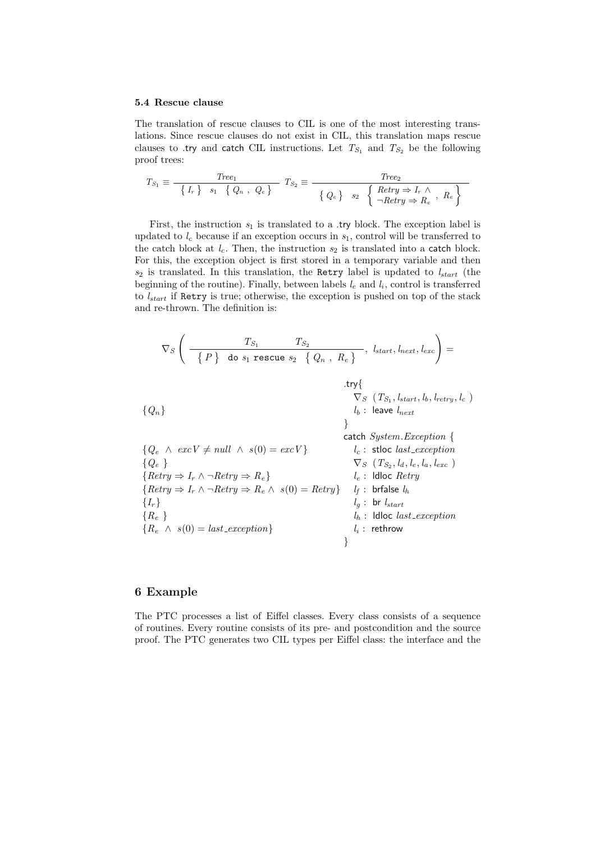### 5.4 Rescue clause

The translation of rescue clauses to CIL is one of the most interesting translations. Since rescue clauses do not exist in CIL, this translation maps rescue clauses to .try and catch CIL instructions. Let  $T_{S_1}$  and  $T_{S_2}$  be the following proof trees:

$$
T_{S_1} \equiv \frac{Tree_1}{\{I_r\} \ s_1 \ \{Q_n, \ Q_e\}} \ T_{S_2} \equiv \frac{Tree_2}{\{Q_e\} \ s_2 \ \{Retry \Rightarrow I_r \land \ A_e\}}
$$

First, the instruction  $s_1$  is translated to a .try block. The exception label is updated to  $l_c$  because if an exception occurs in  $s_1$ , control will be transferred to the catch block at  $l_c$ . Then, the instruction  $s_2$  is translated into a catch block. For this, the exception object is first stored in a temporary variable and then  $s_2$  is translated. In this translation, the Retry label is updated to  $l_{start}$  (the beginning of the routine). Finally, between labels  $l_e$  and  $l_i$ , control is transferred to  $l_{start}$  if Retry is true; otherwise, the exception is pushed on top of the stack and re-thrown. The definition is:

$$
\nabla_S\left(\begin{array}{cc}T_{S_1}&T_{S_2}\\ \hline \left\{ \,P\,\right\} & \text{do }s_1\text{ rescue }s_2\end{array}\begin{array}{c} \\ \left\{ \,Q_n\,\right\}\end{array}\right,\,R_e\left.\right\}^{~~, \ l_{start},\ l_{next},\ l_{exc}}\right)=
$$

 $t_{\text{rel}}$ 

$$
\begin{array}{c}\n\text{for } l \\
Q_n \text{ is the same number of times } l_b: \text{ leave } l_{next}\n\end{array}
$$

| catch System. Exception {                                                     |                                              |
|-------------------------------------------------------------------------------|----------------------------------------------|
| ${Q_e \land excV \neq null \land s(0) = excV}$                                | $l_c$ : $stloc last\_exception$              |
| ${Q_e}$                                                                       | $\nabla_S (T_{S_2}, l_d, l_e, l_a, l_{exc})$ |
| ${Retry \Rightarrow I_r \land \neg Retry \Rightarrow R_e}$                    | $l_e$ : $ldloc Retry$                        |
| ${Retry \Rightarrow I_r \land \neg Retry \Rightarrow R_e \land s(0) = Retry}$ | $l_f$ : $brals = l_h$                        |
| ${I_r}$                                                                       | $l_g$ : $br \mid l_{disc last\_exception}$   |
| ${R_e \land s(0) = last\_exception}$                                          | $l_i$ : $rethrow$                            |

# 6 Example

The PTC processes a list of Eiffel classes. Every class consists of a sequence of routines. Every routine consists of its pre- and postcondition and the source proof. The PTC generates two CIL types per Eiffel class: the interface and the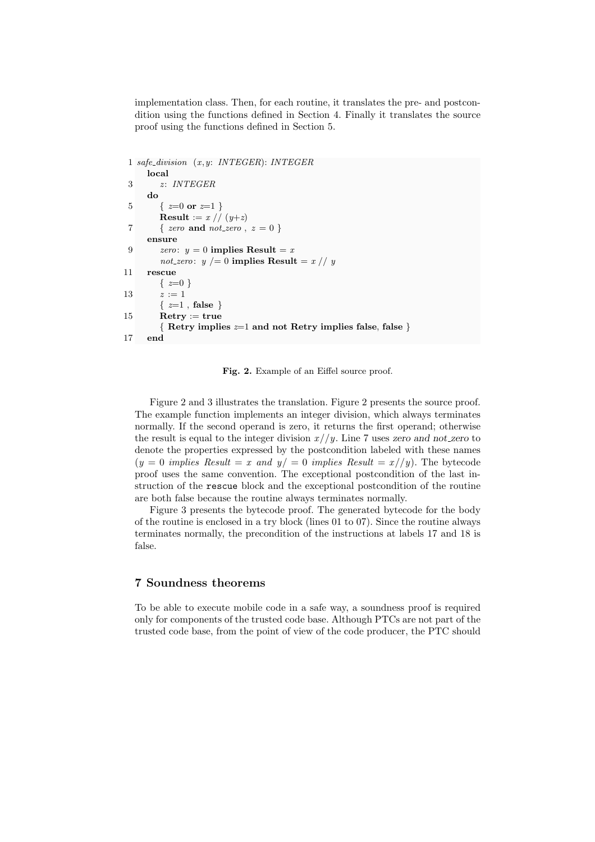implementation class. Then, for each routine, it translates the pre- and postcondition using the functions defined in Section 4. Finally it translates the source proof using the functions defined in Section 5.

```
1 safe division (x,y: INTEGER): INTEGER
     local
 3 \qquad z: \textit{INTEGR}do
5 \{z=0 \text{ or } z=1\}Result := x // (y+z)
 7 { zero \text{ and } not\_zero , z = 0 }
     ensure
9 zero: y = 0 implies Result = x
        not zero: y \neq 0 implies Result = x // y
11 rescue
        \{z=0\}13 \t z := 1\{z=1, false\}15 Retry := true
        \{ Retry implies z=1 and not Retry implies false, false \}17 end
```
Fig. 2. Example of an Eiffel source proof.

Figure 2 and 3 illustrates the translation. Figure 2 presents the source proof. The example function implements an integer division, which always terminates normally. If the second operand is zero, it returns the first operand; otherwise the result is equal to the integer division  $x//y$ . Line 7 uses zero and not zero to denote the properties expressed by the postcondition labeled with these names  $(y = 0 \text{ implies } Result = x \text{ and } y' = 0 \text{ implies } Result = x/|y|$ . The bytecode proof uses the same convention. The exceptional postcondition of the last instruction of the rescue block and the exceptional postcondition of the routine are both false because the routine always terminates normally.

Figure 3 presents the bytecode proof. The generated bytecode for the body of the routine is enclosed in a try block (lines 01 to 07). Since the routine always terminates normally, the precondition of the instructions at labels 17 and 18 is false.

# 7 Soundness theorems

To be able to execute mobile code in a safe way, a soundness proof is required only for components of the trusted code base. Although PTCs are not part of the trusted code base, from the point of view of the code producer, the PTC should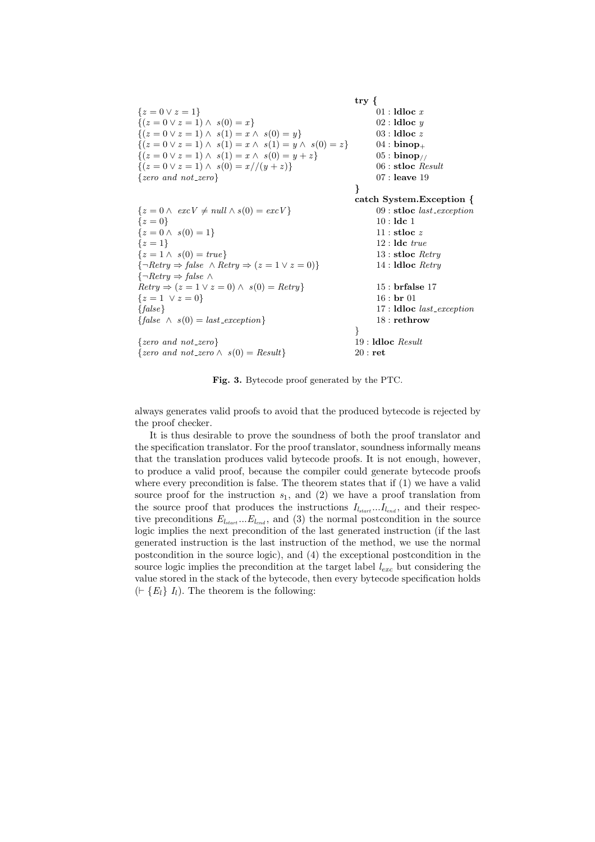|                                                                                | $try \{$                                 |
|--------------------------------------------------------------------------------|------------------------------------------|
| ${z = 0 \vee z = 1}$                                                           | $01:$ <b>Idloc</b> x                     |
| $\{(z=0 \vee z=1) \wedge s(0)=x\}$                                             | 02 : Idloc $y$                           |
| $\{(z=0 \vee z=1) \wedge s(1)=x \wedge s(0)=y\}$                               | $03:$ Idloc $z$                          |
| $\{(z=0 \vee z=1) \wedge s(1)=x \wedge s(1)=y \wedge s(0)=z\}$                 | $04: \text{binop}_+$                     |
| $\{(z=0 \vee z=1) \wedge s(1)=x \wedge s(0)=y+z\}$                             | $05: \mathbf{binop}_{//}$                |
| $\{(z=0 \vee z=1) \wedge s(0)=x//(y+z)\}\$                                     | $06:$ stloc Result                       |
| $\{zero \text{ and } not\_zero\}$                                              | $07:$ leave $19$                         |
|                                                                                | ł                                        |
|                                                                                | catch System.Exception {                 |
| $\{z=0 \wedge \ cscV \neq null \wedge s(0) = cscV\}$                           | $09:$ stloc <i>last_exception</i>        |
| ${z = 0}$                                                                      | $10:$ $\rm{Idc}$ 1                       |
| ${z = 0 \wedge s(0) = 1}$                                                      | $11:$ stloc $z$                          |
| $\{z=1\}$                                                                      | $12:$ ldc true                           |
| $\{z = 1 \wedge s(0) = true\}$                                                 | 13 : st $\mathbf{loc}$ Retry             |
| $\{\neg Retry \Rightarrow false \land Retry \Rightarrow (z = 1 \lor z = 0)\}\$ | 14 : Idloc $Retry$                       |
| $\{\neg Retry \Rightarrow false \wedge$                                        |                                          |
| $Retry \Rightarrow (z = 1 \vee z = 0) \wedge s(0) = Retry$                     | $15:$ brfalse $17$                       |
| ${z = 1 \lor z = 0}$                                                           | $16:$ br $01$                            |
| $\{false\}$                                                                    | $17:$ <b>Idloc</b> <i>last_exception</i> |
| $\{false \land s(0) = last\_exception\}$                                       | $18:$ rethrow                            |
|                                                                                | ł                                        |
| $\{zero \text{ and } not\_zero\}$                                              | 19 : Idloc Result                        |
| {zero and not_zero $\wedge$ s(0) = Result}                                     | $20:$ ret                                |

Fig. 3. Bytecode proof generated by the PTC.

always generates valid proofs to avoid that the produced bytecode is rejected by the proof checker.

It is thus desirable to prove the soundness of both the proof translator and the specification translator. For the proof translator, soundness informally means that the translation produces valid bytecode proofs. It is not enough, however, to produce a valid proof, because the compiler could generate bytecode proofs where every precondition is false. The theorem states that if  $(1)$  we have a valid source proof for the instruction  $s_1$ , and  $(2)$  we have a proof translation from the source proof that produces the instructions  $I_{l_{start}}...I_{l_{end}}$ , and their respective preconditions  $E_{l_{start}}...E_{l_{end}}$ , and (3) the normal postcondition in the source logic implies the next precondition of the last generated instruction (if the last generated instruction is the last instruction of the method, we use the normal postcondition in the source logic), and (4) the exceptional postcondition in the source logic implies the precondition at the target label  $l_{exc}$  but considering the value stored in the stack of the bytecode, then every bytecode specification holds  $(F \{E_l\} I_l)$ . The theorem is the following: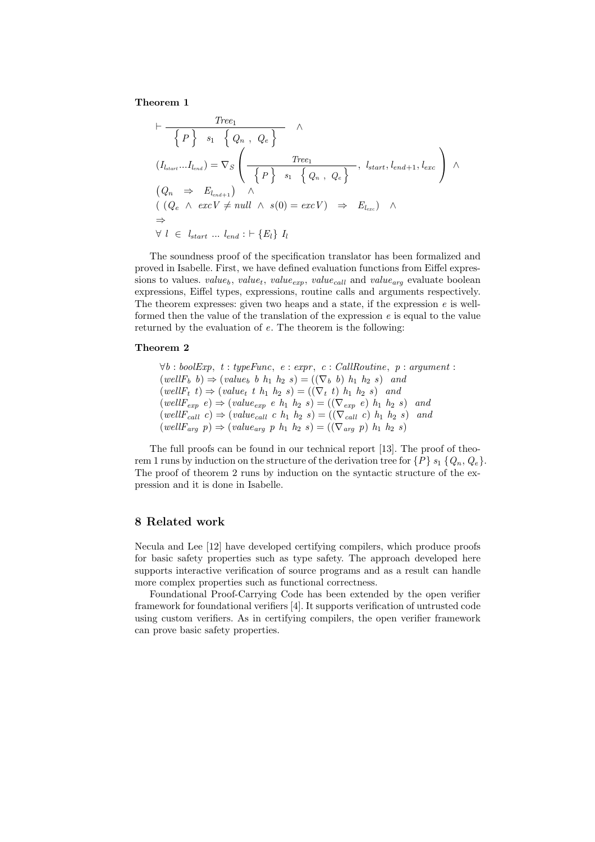Theorem 1

$$
\vdash \frac{Tree_1}{\{P\} \ s_1 \{Q_n, Q_e\}} \wedge
$$
\n
$$
(I_{l_{start}}...I_{l_{end}}) = \nabla_S \left( \frac{Tree_1}{\{P\} \ s_1 \{Q_n, Q_e\}}, l_{start}, l_{end+1}, l_{exc} \right) \wedge
$$
\n
$$
(Q_n \Rightarrow E_{l_{end+1}}) \wedge
$$
\n
$$
((Q_e \wedge excV \neq null \wedge s(0) = excV) \Rightarrow E_{l_{exc}}) \wedge
$$
\n
$$
\Rightarrow \forall l \in l_{start} \dots l_{end} : \vdash \{E_l\} I_l
$$

The soundness proof of the specification translator has been formalized and proved in Isabelle. First, we have defined evaluation functions from Eiffel expressions to values.  $value_b$ ,  $value_t$ ,  $value_{exp}$ ,  $value_{call}$  and  $value_{arg}$  evaluate boolean expressions, Eiffel types, expressions, routine calls and arguments respectively. The theorem expresses: given two heaps and a state, if the expression  $e$  is wellformed then the value of the translation of the expression  $e$  is equal to the value returned by the evaluation of e. The theorem is the following:

### Theorem 2

```
\forall b : \text{boolExp}, t : \text{typeFunc}, e : \text{expr}, c : \text{CallRoutine}, p : \text{argument} :(wellF_b b) \Rightarrow (value_b b h_1 h_2 s) = ((\nabla_b b) h_1 h_2 s) and
(wellF_t t) \Rightarrow (value_t t h_1 h_2 s) = ((\nabla_t t) h_1 h_2 s) and
(wellF_{exp} e) \Rightarrow (value_{exp} e h_1 h_2 s) = ((\nabla_{exp} e) h_1 h_2 s) and
(wellF_{call} c) \Rightarrow (value_{call} c h_1 h_2 s) = ((\nabla_{call} c) h_1 h_2 s) and
(wellF_{arg} p) \Rightarrow (value_{arg} p h_1 h_2 s) = ((\nabla_{arg} p) h_1 h_2 s)
```
The full proofs can be found in our technical report [13]. The proof of theorem 1 runs by induction on the structure of the derivation tree for  $\{P\} s_1 \{Q_n, Q_e\}$ . The proof of theorem 2 runs by induction on the syntactic structure of the expression and it is done in Isabelle.

# 8 Related work

Necula and Lee [12] have developed certifying compilers, which produce proofs for basic safety properties such as type safety. The approach developed here supports interactive verification of source programs and as a result can handle more complex properties such as functional correctness.

Foundational Proof-Carrying Code has been extended by the open verifier framework for foundational verifiers [4]. It supports verification of untrusted code using custom verifiers. As in certifying compilers, the open verifier framework can prove basic safety properties.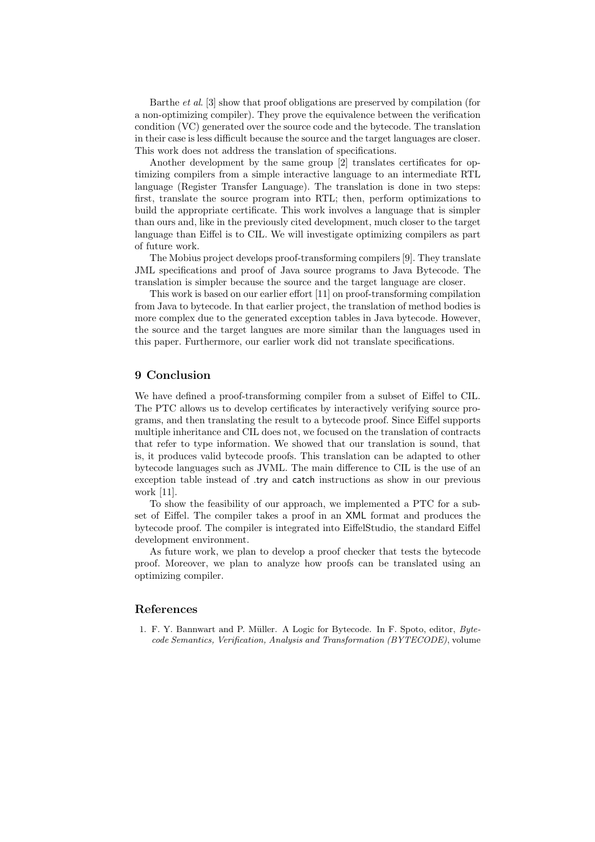Barthe et al. [3] show that proof obligations are preserved by compilation (for a non-optimizing compiler). They prove the equivalence between the verification condition (VC) generated over the source code and the bytecode. The translation in their case is less difficult because the source and the target languages are closer. This work does not address the translation of specifications.

Another development by the same group [2] translates certificates for optimizing compilers from a simple interactive language to an intermediate RTL language (Register Transfer Language). The translation is done in two steps: first, translate the source program into RTL; then, perform optimizations to build the appropriate certificate. This work involves a language that is simpler than ours and, like in the previously cited development, much closer to the target language than Eiffel is to CIL. We will investigate optimizing compilers as part of future work.

The Mobius project develops proof-transforming compilers [9]. They translate JML specifications and proof of Java source programs to Java Bytecode. The translation is simpler because the source and the target language are closer.

This work is based on our earlier effort [11] on proof-transforming compilation from Java to bytecode. In that earlier project, the translation of method bodies is more complex due to the generated exception tables in Java bytecode. However, the source and the target langues are more similar than the languages used in this paper. Furthermore, our earlier work did not translate specifications.

### 9 Conclusion

We have defined a proof-transforming compiler from a subset of Eiffel to CIL. The PTC allows us to develop certificates by interactively verifying source programs, and then translating the result to a bytecode proof. Since Eiffel supports multiple inheritance and CIL does not, we focused on the translation of contracts that refer to type information. We showed that our translation is sound, that is, it produces valid bytecode proofs. This translation can be adapted to other bytecode languages such as JVML. The main difference to CIL is the use of an exception table instead of .try and catch instructions as show in our previous work [11].

To show the feasibility of our approach, we implemented a PTC for a subset of Eiffel. The compiler takes a proof in an XML format and produces the bytecode proof. The compiler is integrated into EiffelStudio, the standard Eiffel development environment.

As future work, we plan to develop a proof checker that tests the bytecode proof. Moreover, we plan to analyze how proofs can be translated using an optimizing compiler.

# References

1. F. Y. Bannwart and P. Müller. A Logic for Bytecode. In F. Spoto, editor, Bytecode Semantics, Verification, Analysis and Transformation (BYTECODE), volume